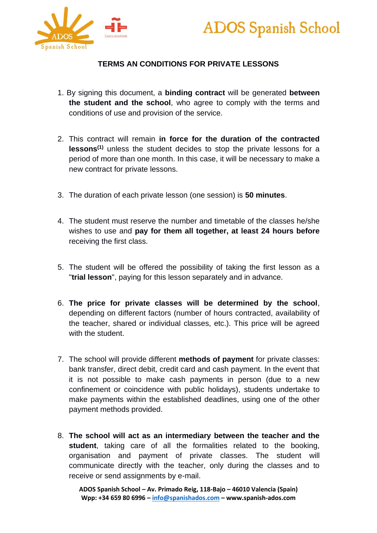



## **TERMS AN CONDITIONS FOR PRIVATE LESSONS**

- 1. By signing this document, a **binding contract** will be generated **between the student and the school**, who agree to comply with the terms and conditions of use and provision of the service.
- 2. This contract will remain **in force for the duration of the contracted lessons(1)** unless the student decides to stop the private lessons for a period of more than one month. In this case, it will be necessary to make a new contract for private lessons.
- 3. The duration of each private lesson (one session) is **50 minutes**.
- 4. The student must reserve the number and timetable of the classes he/she wishes to use and **pay for them all together, at least 24 hours before** receiving the first class.
- 5. The student will be offered the possibility of taking the first lesson as a "**trial lesson**", paying for this lesson separately and in advance.
- 6. **The price for private classes will be determined by the school**, depending on different factors (number of hours contracted, availability of the teacher, shared or individual classes, etc.). This price will be agreed with the student.
- 7. The school will provide different **methods of payment** for private classes: bank transfer, direct debit, credit card and cash payment. In the event that it is not possible to make cash payments in person (due to a new confinement or coincidence with public holidays), students undertake to make payments within the established deadlines, using one of the other payment methods provided.
- 8. **The school will act as an intermediary between the teacher and the student**, taking care of all the formalities related to the booking, organisation and payment of private classes. The student will communicate directly with the teacher, only during the classes and to receive or send assignments by e-mail.

**ADOS Spanish School – Av. Primado Reig, 118-Bajo – 46010 Valencia (Spain) Wpp: +34 659 80 6996 – [info@spanishados.com](mailto:info@spanishados.com) – www.spanish-ados.com**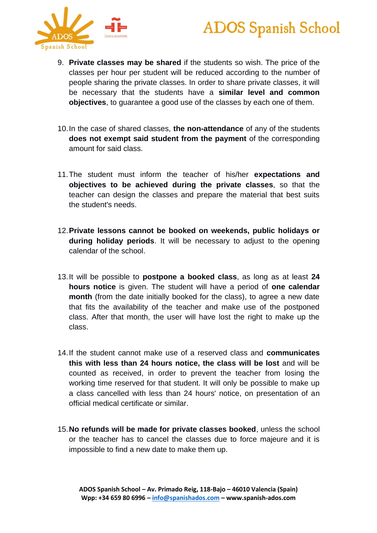



- 9. **Private classes may be shared** if the students so wish. The price of the classes per hour per student will be reduced according to the number of people sharing the private classes. In order to share private classes, it will be necessary that the students have a **similar level and common objectives**, to guarantee a good use of the classes by each one of them.
- 10.In the case of shared classes, **the non-attendance** of any of the students **does not exempt said student from the payment** of the corresponding amount for said class.
- 11.The student must inform the teacher of his/her **expectations and objectives to be achieved during the private classes**, so that the teacher can design the classes and prepare the material that best suits the student's needs.
- 12.**Private lessons cannot be booked on weekends, public holidays or during holiday periods**. It will be necessary to adjust to the opening calendar of the school.
- 13.It will be possible to **postpone a booked class**, as long as at least **24 hours notice** is given. The student will have a period of **one calendar month** (from the date initially booked for the class), to agree a new date that fits the availability of the teacher and make use of the postponed class. After that month, the user will have lost the right to make up the class.
- 14.If the student cannot make use of a reserved class and **communicates this with less than 24 hours notice, the class will be lost** and will be counted as received, in order to prevent the teacher from losing the working time reserved for that student. It will only be possible to make up a class cancelled with less than 24 hours' notice, on presentation of an official medical certificate or similar.
- 15.**No refunds will be made for private classes booked**, unless the school or the teacher has to cancel the classes due to force majeure and it is impossible to find a new date to make them up.